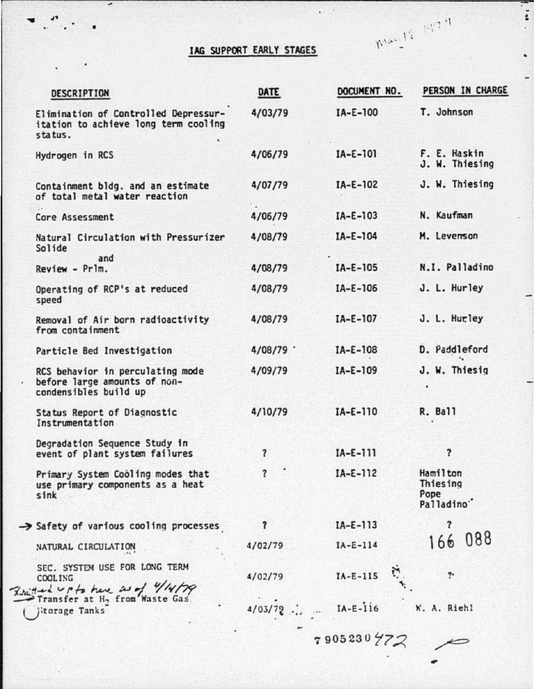## lAG SUPPORT EARLY STAGES

-

Mar 12 1979

| DESCRIPTION                                                                               | DATE                    | DOCUMENT NO. | PERSON IN CHARGE                                       |
|-------------------------------------------------------------------------------------------|-------------------------|--------------|--------------------------------------------------------|
| Elimination of Controlled Depressur-<br>itation to achieve long term cooling<br>status.   | 4/03/79                 | $IA-E-100$   | T. Johnson                                             |
| Hydrogen in RCS                                                                           | 4/06/79                 | $IA-E-101$   | F. E. Haskin<br>J. W. Thiesing                         |
| Containment bldg. and an estimate<br>of total metal water reaction                        | 4/07/79                 | $IA-E-102$   | J. W. Thiesing                                         |
| Core Assessment                                                                           | 4/06/79                 | $IA-E-103$   | N. Kaufman                                             |
| Natural Circulation with Pressurizer<br>Solide                                            | 4/08/79                 | $IA-E-104$   | M. Levenson                                            |
| and<br>Review - Prlm.                                                                     | 4/08/79                 | $IA-E-105$   | N.I. Palladino                                         |
| Operating of RCP's at reduced<br>speed                                                    | 4/08/79                 | $IA-E-106$   | J. L. Hurley                                           |
| Removal of Air born radioactivity<br>from containment                                     | 4/08/79                 | $IA-E-107$   | J. L. Hurley                                           |
| Particle Bed Investigation                                                                | 4/08/79                 | $IA-E-108$   | D. Paddleford                                          |
| RCS behavior in perculating mode<br>before large amounts of non-<br>condensibles build up | 4/09/79                 | $IA-E-109$   | J. W. Thiesig                                          |
| Status Report of Diagnostic<br>Instrumentation                                            | 4/10/79                 | $IA-E-110$   | <b>R. Ball</b>                                         |
| Degradation Sequence Study in<br>event of plant system failures                           | 7                       | $IA-E-111$   | $\overline{\mathbf{r}}$                                |
| Primary System Cooling modes that<br>use primary components as a heat<br>sink             | $\overline{\mathbf{r}}$ | $IA-E-112$   | Hamilton<br>Thiesing<br>Pope<br>Palladino <sup>*</sup> |
| > Safety of various cooling processes                                                     | ?                       | $IA-E-113$   | 7                                                      |
| NATURAL CIRCULATION                                                                       | 4/02/79                 | $IA-E-114$   | 166 088                                                |
| SEC. SYSTEM USE FOR LONG TERM<br>COOL ING<br>Rectacl Up to here as of 4/4/79              | 4/02/79                 | $IA-E-115$   | 7.                                                     |
| Transfer at H <sub>2</sub> from Waste Gas.<br>itorage Tanks                               | 4/03/72                 | $IA-E-116$   | W. A. Richl                                            |

 $7905230772$ 

..